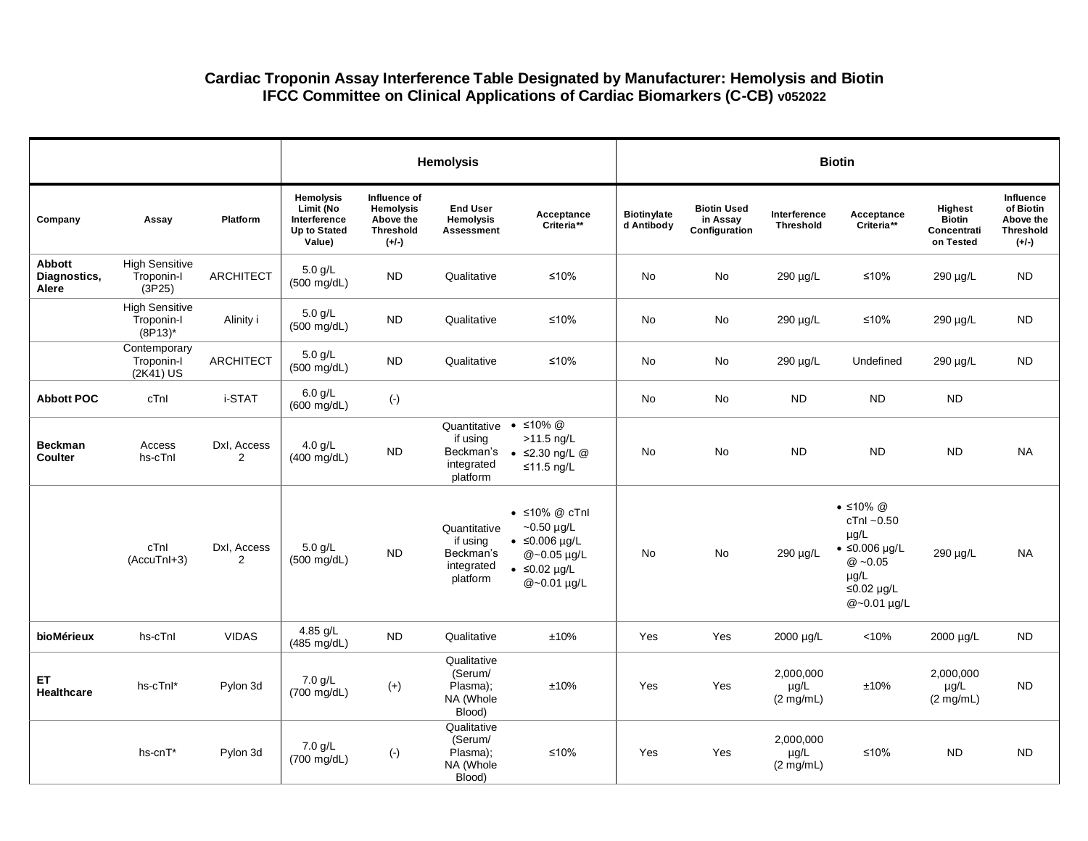## **Cardiac Troponin Assay Interference Table Designated by Manufacturer: Hemolysis and Biotin IFCC Committee on Clinical Applications of Cardiac Biomarkers (C-CB) v052022**

|                                 |                                                   |                               |                                                                                |                                                                              | <b>Hemolysis</b>                                                |                                                                                                                                       | <b>Biotin</b>                    |                                                 |                                               |                                                                                                                                          |                                                      |                                                                    |  |
|---------------------------------|---------------------------------------------------|-------------------------------|--------------------------------------------------------------------------------|------------------------------------------------------------------------------|-----------------------------------------------------------------|---------------------------------------------------------------------------------------------------------------------------------------|----------------------------------|-------------------------------------------------|-----------------------------------------------|------------------------------------------------------------------------------------------------------------------------------------------|------------------------------------------------------|--------------------------------------------------------------------|--|
| Company                         | Assay                                             | Platform                      | <b>Hemolysis</b><br>Limit (No<br>Interference<br><b>Up to Stated</b><br>Value) | Influence of<br><b>Hemolysis</b><br>Above the<br><b>Threshold</b><br>$(+/-)$ | <b>End User</b><br>Hemolysis<br><b>Assessment</b>               | Acceptance<br>Criteria**                                                                                                              | <b>Biotinylate</b><br>d Antibody | <b>Biotin Used</b><br>in Assay<br>Configuration | Interference<br><b>Threshold</b>              | Acceptance<br>Criteria**                                                                                                                 | Highest<br><b>Biotin</b><br>Concentrati<br>on Tested | Influence<br>of Biotin<br>Above the<br><b>Threshold</b><br>$(+/-)$ |  |
| Abbott<br>Diagnostics,<br>Alere | <b>High Sensitive</b><br>Troponin-I<br>(3P25)     | <b>ARCHITECT</b>              | $5.0$ g/L<br>(500 mg/dL)                                                       | <b>ND</b>                                                                    | Qualitative                                                     | ≤10%                                                                                                                                  | No                               | No                                              | 290 µg/L                                      | ≤10%                                                                                                                                     | 290 µg/L                                             | <b>ND</b>                                                          |  |
|                                 | <b>High Sensitive</b><br>Troponin-I<br>$(8P13)^*$ | Alinity i                     | $5.0$ g/L<br>$(500 \text{ mg/dL})$                                             | <b>ND</b>                                                                    | Qualitative                                                     | $≤10%$                                                                                                                                | No                               | $\operatorname{\mathsf{No}}$                    | 290 µg/L                                      | $≤10%$                                                                                                                                   | 290 µg/L                                             | <b>ND</b>                                                          |  |
|                                 | Contemporary<br>Troponin-I<br>(2K41) US           | ARCHITECT                     | 5.0 g/L<br>$(500 \text{ mg/dL})$                                               | <b>ND</b>                                                                    | Qualitative                                                     | $≤10%$                                                                                                                                | <b>No</b>                        | No                                              | 290 µg/L                                      | Undefined                                                                                                                                | 290 µg/L                                             | <b>ND</b>                                                          |  |
| <b>Abbott POC</b>               | cTnl                                              | i-STAT                        | $6.0$ g/L<br>$(600 \text{ mg/dL})$                                             | $(\cdot)$                                                                    |                                                                 |                                                                                                                                       | No                               | No                                              | <b>ND</b>                                     | <b>ND</b>                                                                                                                                | <b>ND</b>                                            |                                                                    |  |
| <b>Beckman</b><br>Coulter       | Access<br>hs-cTnl                                 | Dxl, Access<br>$\overline{2}$ | $4.0$ g/L<br>$(400 \text{ mg/dL})$                                             | <b>ND</b>                                                                    | Quantitative<br>if using<br>Beckman's<br>integrated<br>platform | • $\leq 10\%$ @<br>$>11.5$ ng/L<br>$\bullet$ $\leq$ 2.30 ng/L @<br>≤11.5 ng/L                                                         | <b>No</b>                        | No                                              | <b>ND</b>                                     | <b>ND</b>                                                                                                                                | <b>ND</b>                                            | <b>NA</b>                                                          |  |
|                                 | cTnl<br>(AccuTnI+3)                               | Dxl, Access<br>2              | 5.0 g/L<br>$(500 \text{ mg/dL})$                                               | <b>ND</b>                                                                    | Quantitative<br>if using<br>Beckman's<br>integrated<br>platform | $\bullet$ ≤10% @ cTnl<br>$-0.50 \,\mu g/L$<br>$\bullet$ $\leq$ 0.006 µg/L<br>@~0.05 µg/L<br>$\bullet$ $\leq$ 0.02 µg/L<br>@~0.01 µg/L | No                               | No                                              | 290 µg/L                                      | $\bullet$ ≤10% @<br>$cTnI - 0.50$<br>$\mu$ g/L<br>$\bullet$ ≤0.006 µg/L<br>$@ -0.05$<br>$\mu$ g/L<br>$\leq$ 0.02 µg/L<br>$@ - 0.01$ µg/L | 290 µg/L                                             | <b>NA</b>                                                          |  |
| bioMérieux                      | hs-cTnl                                           | <b>VIDAS</b>                  | 4.85 g/L<br>$(485 \text{ mg/dL})$                                              | <b>ND</b>                                                                    | Qualitative                                                     | ±10%                                                                                                                                  | Yes                              | Yes                                             | 2000 µg/L                                     | < 10%                                                                                                                                    | 2000 µg/L                                            | <b>ND</b>                                                          |  |
| ET.<br><b>Healthcare</b>        | hs-cTnl*                                          | Pylon 3d                      | $7.0$ g/L<br>(700 mg/dL)                                                       | $(+)$                                                                        | Qualitative<br>(Serum/<br>Plasma);<br>NA (Whole<br>Blood)       | ±10%                                                                                                                                  | Yes                              | Yes                                             | 2,000,000<br>$\mu$ g/L<br>$(2 \text{ mg/mL})$ | ±10%                                                                                                                                     | 2,000,000<br>$\mu$ g/L<br>$(2 \text{ mg/mL})$        | <b>ND</b>                                                          |  |
|                                 | hs-cnT*                                           | Pylon 3d                      | 7.0 g/L<br>(700 mg/dL)                                                         | $(-)$                                                                        | Qualitative<br>(Serum/<br>Plasma);<br>NA (Whole<br>Blood)       | $≤10%$                                                                                                                                | Yes                              | Yes                                             | 2,000,000<br>µg/L<br>(2 mg/mL)                | ≤10%                                                                                                                                     | <b>ND</b>                                            | <b>ND</b>                                                          |  |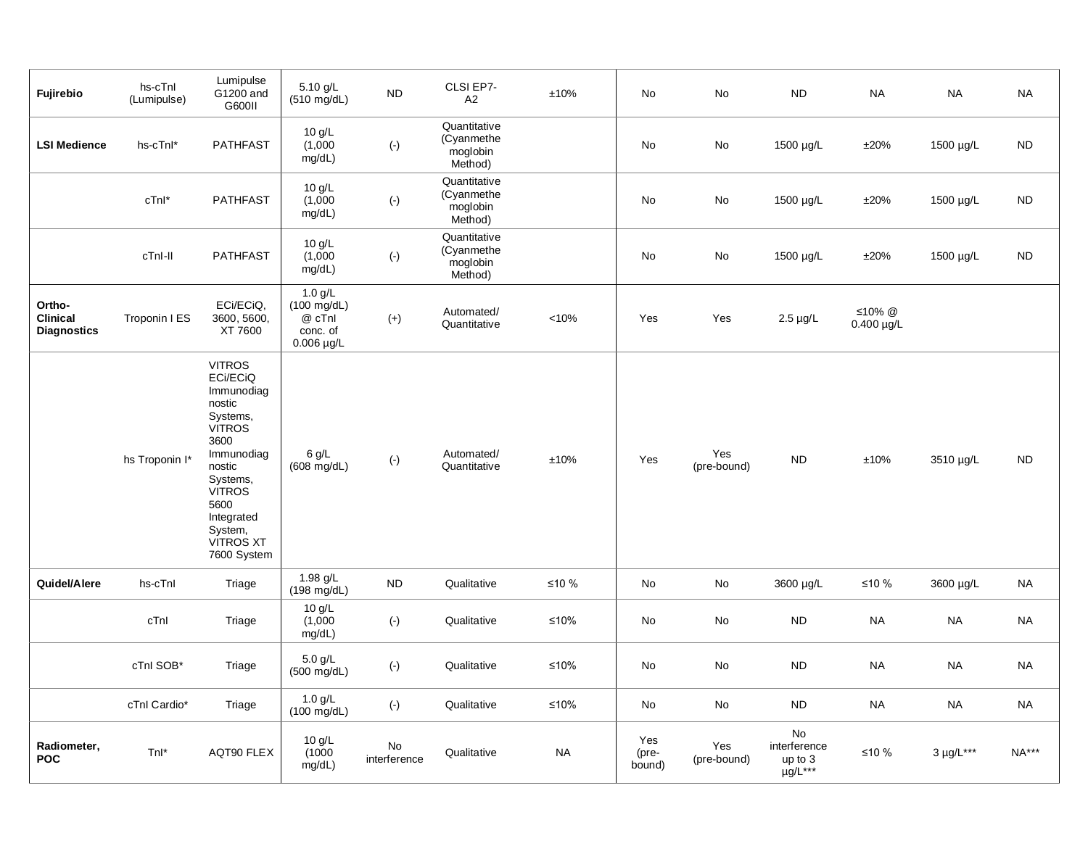| Fujirebio                                       | hs-cTnl<br>(Lumipulse) | Lumipulse<br>G1200 and<br>G600II                                                                                                                                                                                | 5.10 g/L<br>$(510 \text{ mg/dL})$                                           | <b>ND</b>          | CLSI EP7-<br>A2                                   | ±10%      | No                     | No                 | <b>ND</b>                                     | <b>NA</b>                 | <b>NA</b>         | <b>NA</b>    |
|-------------------------------------------------|------------------------|-----------------------------------------------------------------------------------------------------------------------------------------------------------------------------------------------------------------|-----------------------------------------------------------------------------|--------------------|---------------------------------------------------|-----------|------------------------|--------------------|-----------------------------------------------|---------------------------|-------------------|--------------|
| <b>LSI Medience</b>                             | hs-cTnl*               | <b>PATHFAST</b>                                                                                                                                                                                                 | 10 g/L<br>(1,000)<br>mg/dL)                                                 | $(\text{-})$       | Quantitative<br>(Cyanmethe<br>moglobin<br>Method) |           | No                     | No                 | 1500 µg/L                                     | ±20%                      | 1500 µg/L         | <b>ND</b>    |
|                                                 | cTnl*                  | <b>PATHFAST</b>                                                                                                                                                                                                 | 10 g/L<br>(1,000)<br>mg/dL)                                                 | $(\cdot)$          | Quantitative<br>(Cyanmethe<br>moglobin<br>Method) |           | No                     | No                 | 1500 µg/L                                     | ±20%                      | 1500 µg/L         | <b>ND</b>    |
|                                                 | cTnI-II                | <b>PATHFAST</b>                                                                                                                                                                                                 | 10 g/L<br>(1,000)<br>mg/dL)                                                 | $(\cdot)$          | Quantitative<br>(Cyanmethe<br>moglobin<br>Method) |           | No                     | No                 | 1500 µg/L                                     | ±20%                      | 1500 µg/L         | ND.          |
| Ortho-<br><b>Clinical</b><br><b>Diagnostics</b> | Troponin I ES          | ECi/ECiQ,<br>3600, 5600,<br>XT 7600                                                                                                                                                                             | $1.0$ g/L<br>$(100 \text{ mg/dL})$<br>@ cTnl<br>conc. of<br>$0.006 \mu g/L$ | $(+)$              | Automated/<br>Quantitative                        | < 10%     | Yes                    | Yes                | $2.5 \mu g/L$                                 | ≤10% @<br>$0.400 \mu g/L$ |                   |              |
|                                                 | hs Troponin I*         | <b>VITROS</b><br>ECi/ECiQ<br>Immunodiag<br>nostic<br>Systems,<br><b>VITROS</b><br>3600<br>Immunodiag<br>nostic<br>Systems,<br><b>VÍTROS</b><br>5600<br>Integrated<br>System,<br><b>VITROS XT</b><br>7600 System | 6 g/L<br>(608 mg/dL)                                                        | $(\cdot)$          | Automated/<br>Quantitative                        | ±10%      | Yes                    | Yes<br>(pre-bound) | <b>ND</b>                                     | ±10%                      | 3510 µg/L         | <b>ND</b>    |
| Quidel/Alere                                    | hs-cTnl                | Triage                                                                                                                                                                                                          | 1.98 $g/L$<br>$(198 \text{ mg/dL})$                                         | <b>ND</b>          | Qualitative                                       | ≤10 %     | No                     | No                 | 3600 µg/L                                     | ≤10 %                     | 3600 µg/L         | <b>NA</b>    |
|                                                 | cTnl                   | Triage                                                                                                                                                                                                          | 10 g/L<br>(1,000)<br>mg/dL)                                                 | $(\cdot)$          | Qualitative                                       | ≤10%      | No                     | No                 | <b>ND</b>                                     | <b>NA</b>                 | <b>NA</b>         | <b>NA</b>    |
|                                                 | cTnl SOB*              | Triage                                                                                                                                                                                                          | $5.0$ g/L<br>(500 mg/dL)                                                    | $(\cdot)$          | Qualitative                                       | $≤10%$    | No                     | No                 | <b>ND</b>                                     | <b>NA</b>                 | <b>NA</b>         | <b>NA</b>    |
|                                                 | cTnl Cardio*           | Triage                                                                                                                                                                                                          | $1.0$ g/L<br>$(100 \text{ mg/dL})$                                          | $(\cdot)$          | Qualitative                                       | $≤10%$    | No                     | No                 | <b>ND</b>                                     | <b>NA</b>                 | <b>NA</b>         | <b>NA</b>    |
| Radiometer,<br><b>POC</b>                       | Tnl*                   | AQT90 FLEX                                                                                                                                                                                                      | 10 g/L<br>(1000)<br>mg/dL)                                                  | No<br>interference | Qualitative                                       | <b>NA</b> | Yes<br>(pre-<br>bound) | Yes<br>(pre-bound) | No<br>interference<br>up to 3<br>$\mu g/L***$ | ≤10 %                     | $3 \mu g/L^{***}$ | <b>NA***</b> |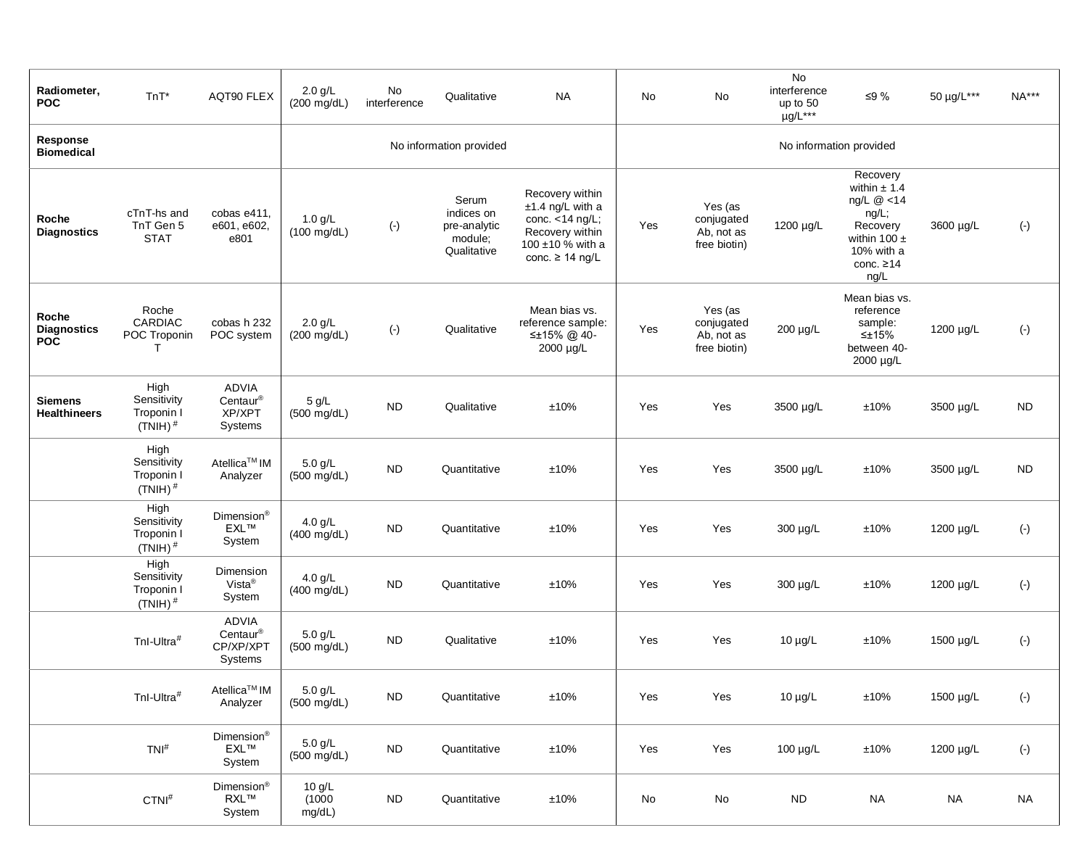| Radiometer,<br><b>POC</b>                 | $TnT^*$                                                    | AQT90 FLEX                                                                                                | $2.0$ g/L<br>$(200 \text{ mg/dL})$ | No<br>interference | Qualitative                                                   | <b>NA</b>                                                                                                                  | No                      | No                                                  | No<br>interference<br>up to 50<br>µg/L*** | ≤9%                                                                                                                            | 50 µg/L*** | $NA***$   |  |  |
|-------------------------------------------|------------------------------------------------------------|-----------------------------------------------------------------------------------------------------------|------------------------------------|--------------------|---------------------------------------------------------------|----------------------------------------------------------------------------------------------------------------------------|-------------------------|-----------------------------------------------------|-------------------------------------------|--------------------------------------------------------------------------------------------------------------------------------|------------|-----------|--|--|
| Response<br><b>Biomedical</b>             |                                                            |                                                                                                           |                                    |                    | No information provided                                       |                                                                                                                            | No information provided |                                                     |                                           |                                                                                                                                |            |           |  |  |
| Roche<br><b>Diagnostics</b>               | cTnT-hs and<br>TnT Gen 5<br><b>STAT</b>                    | cobas e411,<br>e601, e602,<br>e801                                                                        | $1.0$ g/L<br>$(100 \text{ mg/dL})$ | $(\cdot)$          | Serum<br>indices on<br>pre-analytic<br>module;<br>Qualitative | Recovery within<br>$±1.4$ ng/L with a<br>conc. $<$ 14 ng/L;<br>Recovery within<br>100 ±10 % with a<br>conc. $\geq$ 14 ng/L | Yes                     | Yes (as<br>conjugated<br>Ab, not as<br>free biotin) | 1200 µg/L                                 | Recovery<br>within $\pm$ 1.4<br>ng/L $@$ <14<br>ng/L;<br>Recovery<br>within 100 $\pm$<br>10% with a<br>conc. $\geq 14$<br>ng/L | 3600 µg/L  | $(\cdot)$ |  |  |
| Roche<br><b>Diagnostics</b><br><b>POC</b> | Roche<br>CARDIAC<br>POC Troponin<br>т                      | cobas h 232<br>POC system                                                                                 | $2.0$ g/L<br>$(200 \text{ mg/dL})$ | $(\cdot)$          | Qualitative                                                   | Mean bias vs.<br>reference sample:<br>≤±15% @ 40-<br>2000 µg/L                                                             | Yes                     | Yes (as<br>conjugated<br>Ab, not as<br>free biotin) | 200 µg/L                                  | Mean bias vs.<br>reference<br>sample:<br>$\leq$ ±15%<br>between 40-<br>2000 µg/L                                               | 1200 µg/L  | $(\cdot)$ |  |  |
| <b>Siemens</b><br><b>Healthineers</b>     | High<br>Sensitivity<br>Troponin I<br>$(TNIH)$ <sup>#</sup> | ADVIA<br>Centaur®<br>XP/XPT<br>Systems                                                                    | 5 g/L<br>$(500 \text{ mg/dL})$     | <b>ND</b>          | Qualitative                                                   | ±10%                                                                                                                       | Yes                     | Yes                                                 | 3500 µg/L                                 | ±10%                                                                                                                           | 3500 µg/L  | <b>ND</b> |  |  |
|                                           | High<br>Sensitivity<br>Troponin I<br>$(TNIH)$ <sup>#</sup> | Atellica <sup>™</sup> IM<br>Analyzer                                                                      | 5.0 g/L<br>$(500 \text{ mg/dL})$   | <b>ND</b>          | Quantitative                                                  | ±10%                                                                                                                       | Yes                     | Yes                                                 | 3500 µg/L                                 | ±10%                                                                                                                           | 3500 µg/L  | <b>ND</b> |  |  |
|                                           | High<br>Sensitivity<br>Troponin I<br>$(TNIH)$ <sup>#</sup> | Dimension <sup>®</sup><br><b>EXL™</b><br>System                                                           | $4.0$ g/L<br>$(400 \text{ mg/dL})$ | <b>ND</b>          | Quantitative                                                  | ±10%                                                                                                                       | Yes                     | Yes                                                 | 300 µg/L                                  | ±10%                                                                                                                           | 1200 µg/L  | $(\cdot)$ |  |  |
|                                           | High<br>Sensitivity<br>Troponin I<br>$(TNIH)$ <sup>#</sup> | Dimension<br>Vista <sup>®</sup><br>System                                                                 | $4.0$ g/L<br>$(400 \text{ mg/dL})$ | <b>ND</b>          | Quantitative                                                  | ±10%                                                                                                                       | Yes                     | Yes                                                 | 300 µg/L                                  | ±10%                                                                                                                           | 1200 µg/L  | $(\cdot)$ |  |  |
|                                           | Tnl-Ultra#                                                 | ADVIA<br>$Centaur^{\circledR}$<br>CP/XP/XPT<br>Systems                                                    | 5.0 g/L<br>$(500 \text{ mg/dL})$   | <b>ND</b>          | Qualitative                                                   | ±10%                                                                                                                       | Yes                     | Yes                                                 | $10 \mu g/L$                              | ±10%                                                                                                                           | 1500 µg/L  | $(\cdot)$ |  |  |
|                                           | Tnl-Ultra#                                                 | Atellica <sup>™</sup> IM<br>Analyzer                                                                      | $5.0$ g/L<br>$(500 \text{ mg/dL})$ | ${\sf ND}$         | Quantitative                                                  | $\pm 10\%$                                                                                                                 | Yes                     | Yes                                                 | $10 \mu g/L$                              | $\pm 10\%$                                                                                                                     | 1500 µg/L  | $(\cdot)$ |  |  |
|                                           | $TNI^{\#}$                                                 | Dimension <sup>®</sup><br>$\mathsf{EXL}^{\scriptscriptstyle \mathsf{T}\hspace{-1pt}\mathsf{M}}$<br>System | $5.0$ g/L<br>$(500 \text{ mg/dL})$ | ${\sf ND}$         | Quantitative                                                  | $\pm 10\%$                                                                                                                 | Yes                     | Yes                                                 | 100 µg/L                                  | $\pm 10\%$                                                                                                                     | 1200 µg/L  | $(\cdot)$ |  |  |
|                                           | $CTNI^{\#}$                                                | Dimension <sup>®</sup><br>RXL™<br>System                                                                  | 10 g/L<br>(1000)<br>mg/dL)         | ${\sf ND}$         | Quantitative                                                  | $\pm 10\%$                                                                                                                 | No                      | $\operatorname{\mathsf{No}}$                        | <b>ND</b>                                 | <b>NA</b>                                                                                                                      | <b>NA</b>  | $\sf NA$  |  |  |